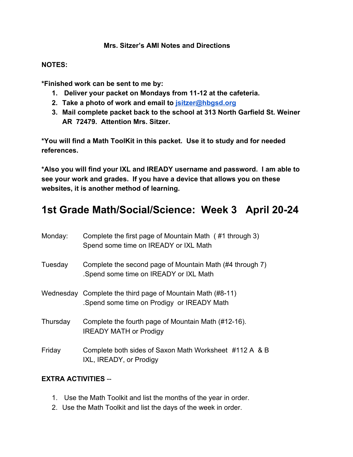#### **Mrs. Sitzer's AMI Notes and Directions**

#### **NOTES:**

**\*Finished work can be sent to me by:**

- **1. Deliver your packet on Mondays from 11-12 at the cafeteria.**
- **2. Take a photo of work and email to [jsitzer@hbgsd.org](mailto:jsitzer@hbgsd.org)**
- **3. Mail complete packet back to the school at 313 North Garfield St. Weiner AR 72479. Attention Mrs. Sitzer.**

**\*You will find a Math ToolKit in this packet. Use it to study and for needed references.**

**\*Also you will find your IXL and IREADY username and password. I am able to see your work and grades. If you have a device that allows you on these websites, it is another method of learning.**

# **1st Grade Math/Social/Science: Week 3 April 20-24**

| Monday:  | Complete the first page of Mountain Math (#1 through 3)<br>Spend some time on IREADY or IXL Math        |
|----------|---------------------------------------------------------------------------------------------------------|
| Tuesday  | Complete the second page of Mountain Math (#4 through 7)<br>Spend some time on IREADY or IXL Math       |
|          | Wednesday Complete the third page of Mountain Math (#8-11)<br>Spend some time on Prodigy or IREADY Math |
| Thursday | Complete the fourth page of Mountain Math (#12-16).<br><b>IREADY MATH or Prodigy</b>                    |
| Friday   | Complete both sides of Saxon Math Worksheet #112 A & B<br>IXL, IREADY, or Prodigy                       |

## **EXTRA ACTIVITIES** --

- 1. Use the Math Toolkit and list the months of the year in order.
- 2. Use the Math Toolkit and list the days of the week in order.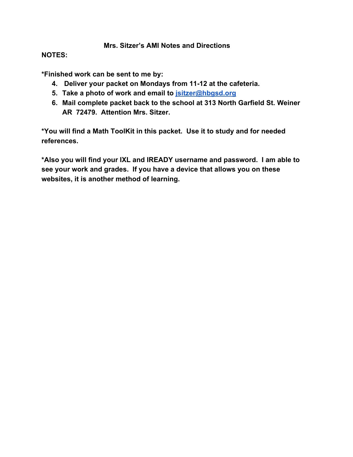### **Mrs. Sitzer's AMI Notes and Directions**

### **NOTES:**

**\*Finished work can be sent to me by:**

- **4. Deliver your packet on Mondays from 11-12 at the cafeteria.**
- **5. Take a photo of work and email to [jsitzer@hbgsd.org](mailto:jsitzer@hbgsd.org)**
- **6. Mail complete packet back to the school at 313 North Garfield St. Weiner AR 72479. Attention Mrs. Sitzer.**

**\*You will find a Math ToolKit in this packet. Use it to study and for needed references.**

**\*Also you will find your IXL and IREADY username and password. I am able to see your work and grades. If you have a device that allows you on these websites, it is another method of learning.**